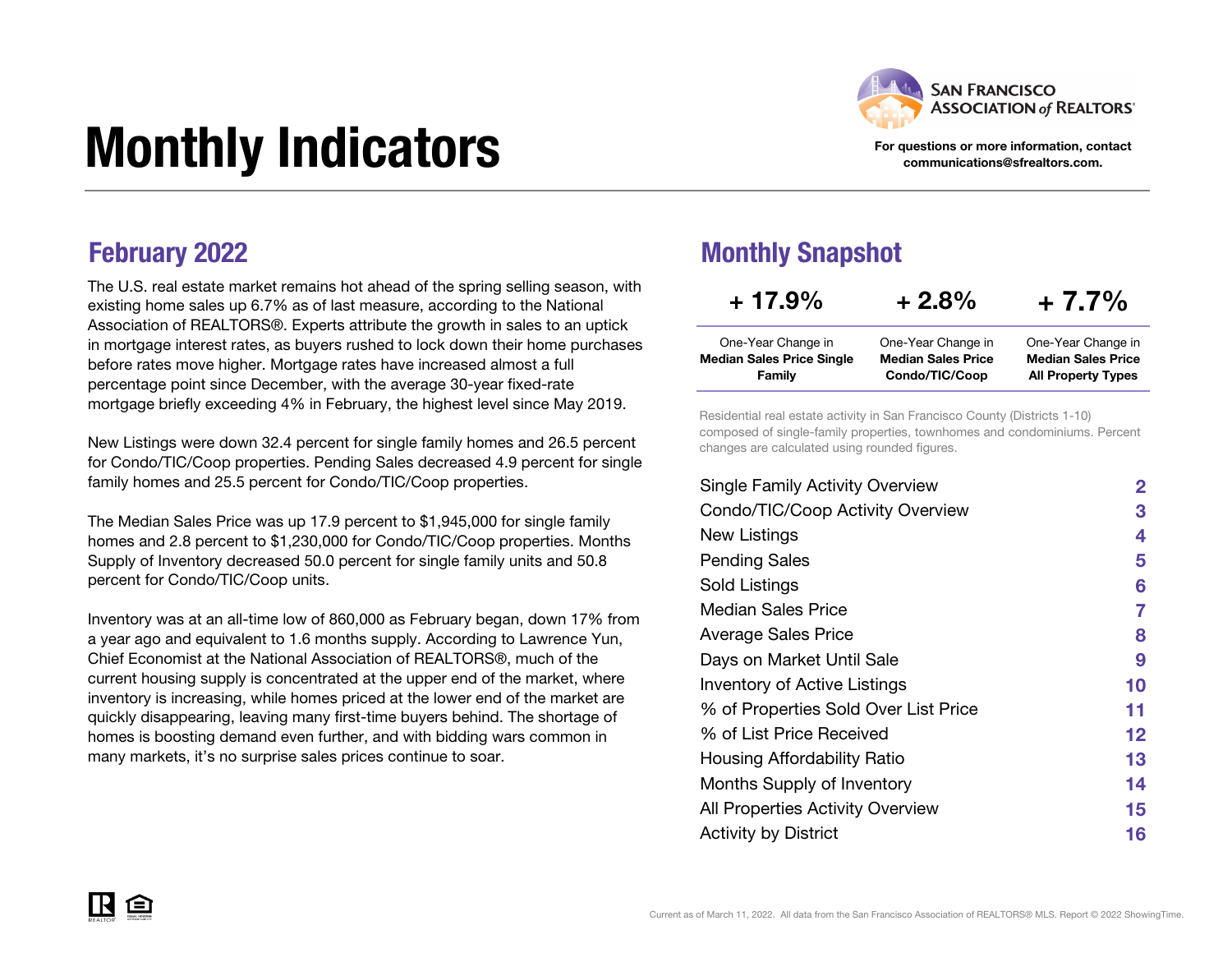

#### For questions or more information, contact communications@sfrealtors.com.

# Monthly Indicators

The U.S. real estate market remains hot ahead of the spring selling season, with existing home sales up 6.7% as of last measure, according to the National Association of REALTORS®. Experts attribute the growth in sales to an uptick in mortgage interest rates, as buyers rushed to lock down their home purchases before rates move higher. Mortgage rates have increased almost a full percentage point since December, with the average 30-year fixed-rate mortgage briefly exceeding 4% in February, the highest level since May 2019.

New Listings were down 32.4 percent for single family homes and 26.5 percent for Condo/TIC/Coop properties. Pending Sales decreased 4.9 percent for single family homes and 25.5 percent for Condo/TIC/Coop properties.

The Median Sales Price was up 17.9 percent to \$1,945,000 for single family homes and 2.8 percent to \$1,230,000 for Condo/TIC/Coop properties. Months Supply of Inventory decreased 50.0 percent for single family units and 50.8 percent for Condo/TIC/Coop units.

Inventory was at an all-time low of 860,000 as February began, down 17% from a year ago and equivalent to 1.6 months supply. According to Lawrence Yun, Chief Economist at the National Association of REALTORS®, much of the current housing supply is concentrated at the upper end of the market, where inventory is increasing, while homes priced at the lower end of the market are quickly disappearing, leaving many first-time buyers behind. The shortage of homes is boosting demand even further, and with bidding wars common in many markets, it's no surprise sales prices continue to soar.

#### **February 2022** Monthly Snapshot

| $+17.9%$                         | $+2.8%$                   | $+7.7\%$                  |  |  |  |
|----------------------------------|---------------------------|---------------------------|--|--|--|
| One-Year Change in               | One-Year Change in        | One-Year Change in        |  |  |  |
| <b>Median Sales Price Single</b> | <b>Median Sales Price</b> | <b>Median Sales Price</b> |  |  |  |
| Family                           | Condo/TIC/Coop            | <b>All Property Types</b> |  |  |  |

Residential real estate activity in San Francisco County (Districts 1-10) composed of single-family properties, townhomes and condominiums. Percent changes are calculated using rounded figures.

| <b>Single Family Activity Overview</b> | $\mathbf{2}$ |
|----------------------------------------|--------------|
| Condo/TIC/Coop Activity Overview       | 3            |
| New Listings                           | 4            |
| <b>Pending Sales</b>                   | 5            |
| Sold Listings                          | 6            |
| Median Sales Price                     | 7            |
| <b>Average Sales Price</b>             | 8            |
| Days on Market Until Sale              | 9            |
| <b>Inventory of Active Listings</b>    | 10           |
| % of Properties Sold Over List Price   | 11           |
| % of List Price Received               | 12           |
| Housing Affordability Ratio            | 13           |
| Months Supply of Inventory             | 14           |
| All Properties Activity Overview       | 15           |
| <b>Activity by District</b>            | 16           |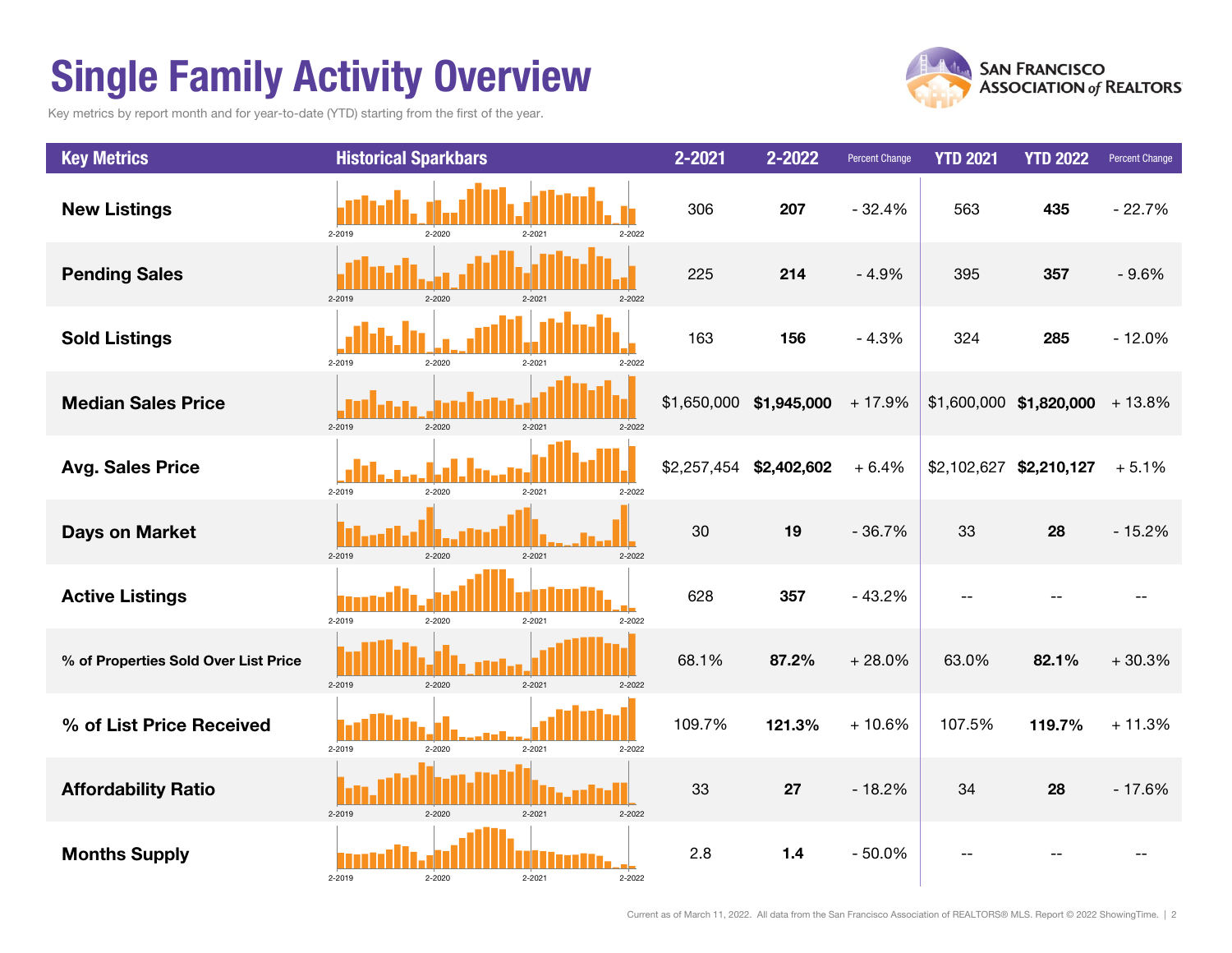## Single Family Activity Overview

Key metrics by report month and for year-to-date (YTD) starting from the first of the year.



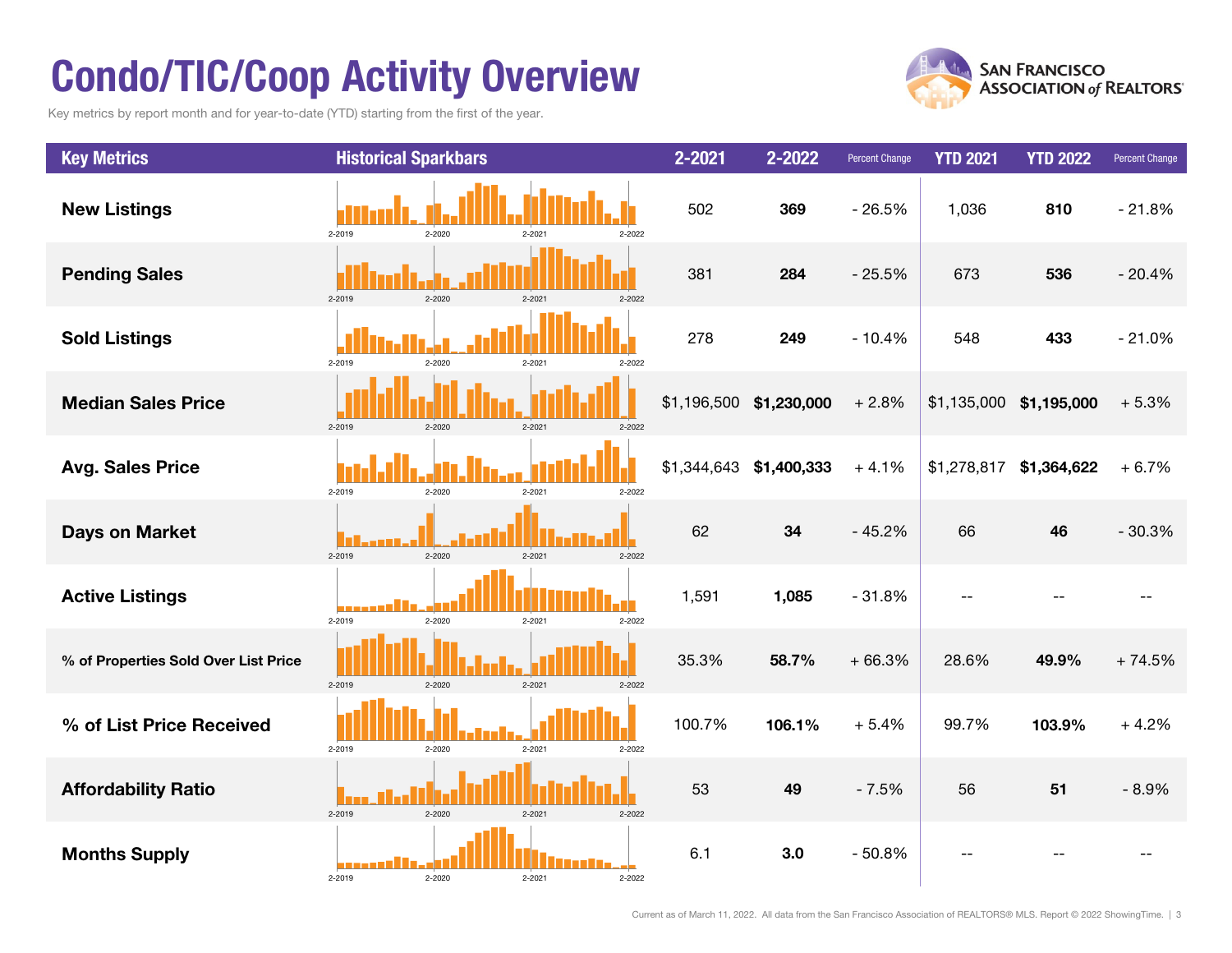## Condo/TIC/Coop Activity Overview

Key metrics by report month and for year-to-date (YTD) starting from the first of the year.



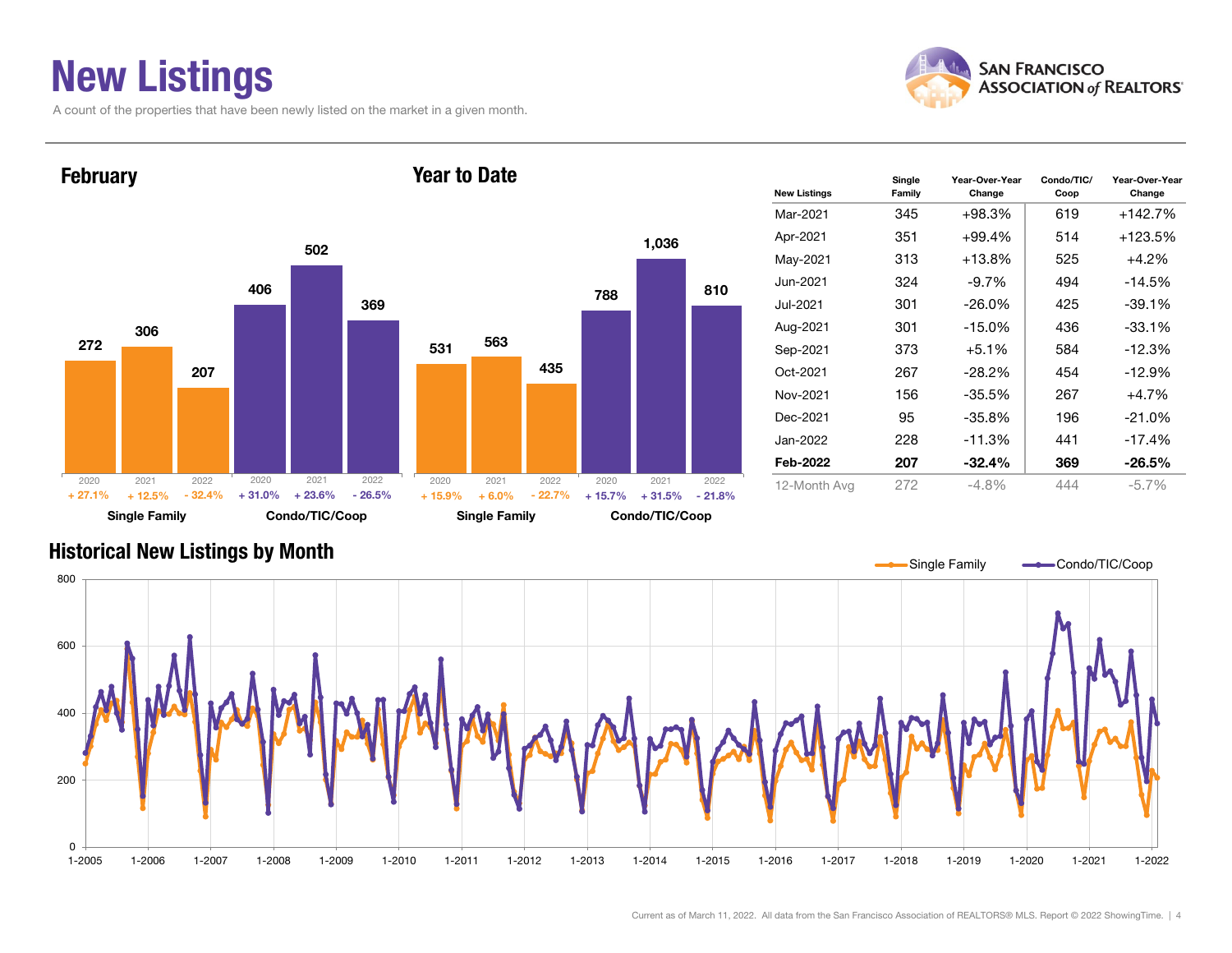### New Listings

A count of the properties that have been newly listed on the market in a given month.



Change





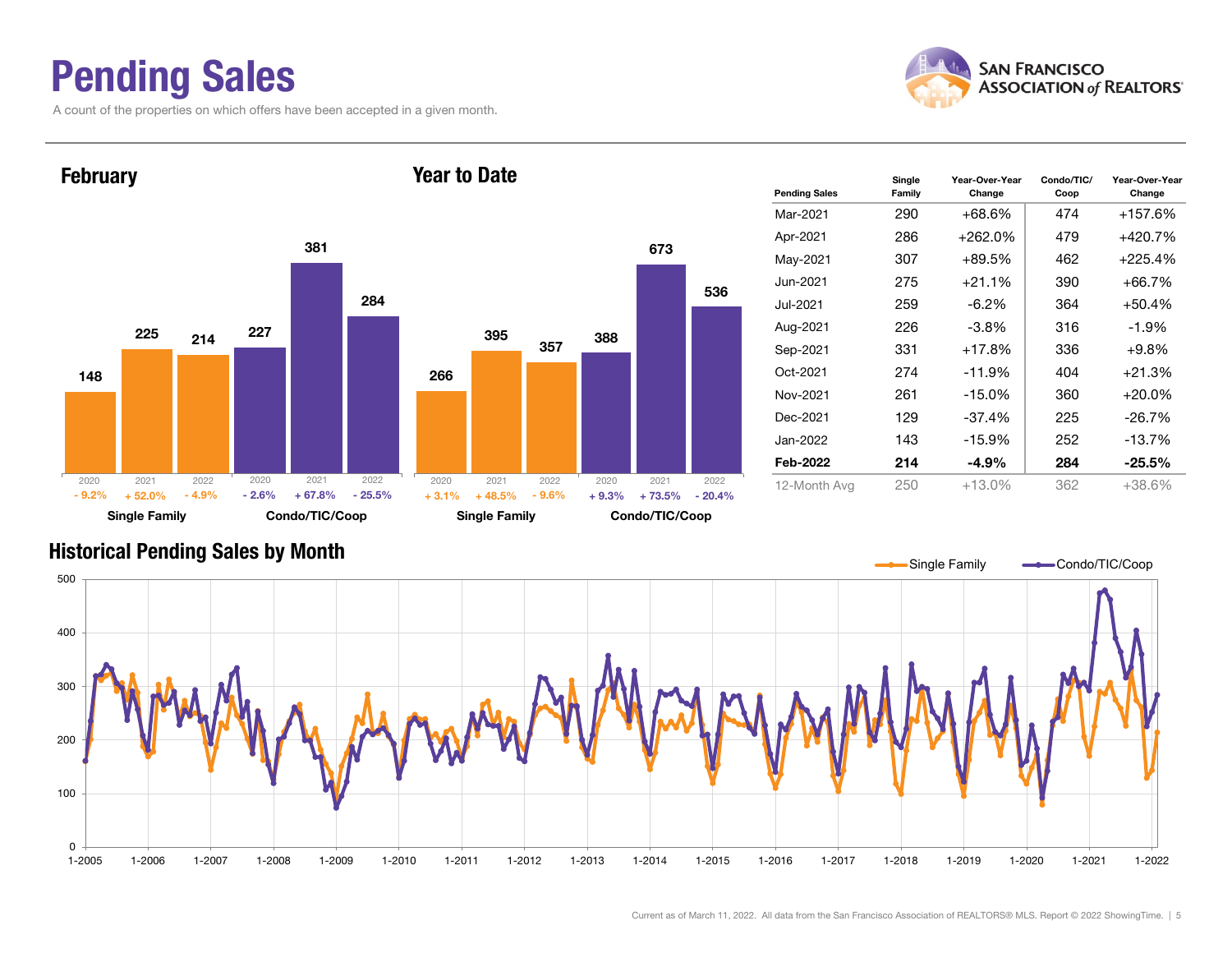### Pending Sales

A count of the properties on which offers have been accepted in a given month.





#### Historical Pending Sales by Month

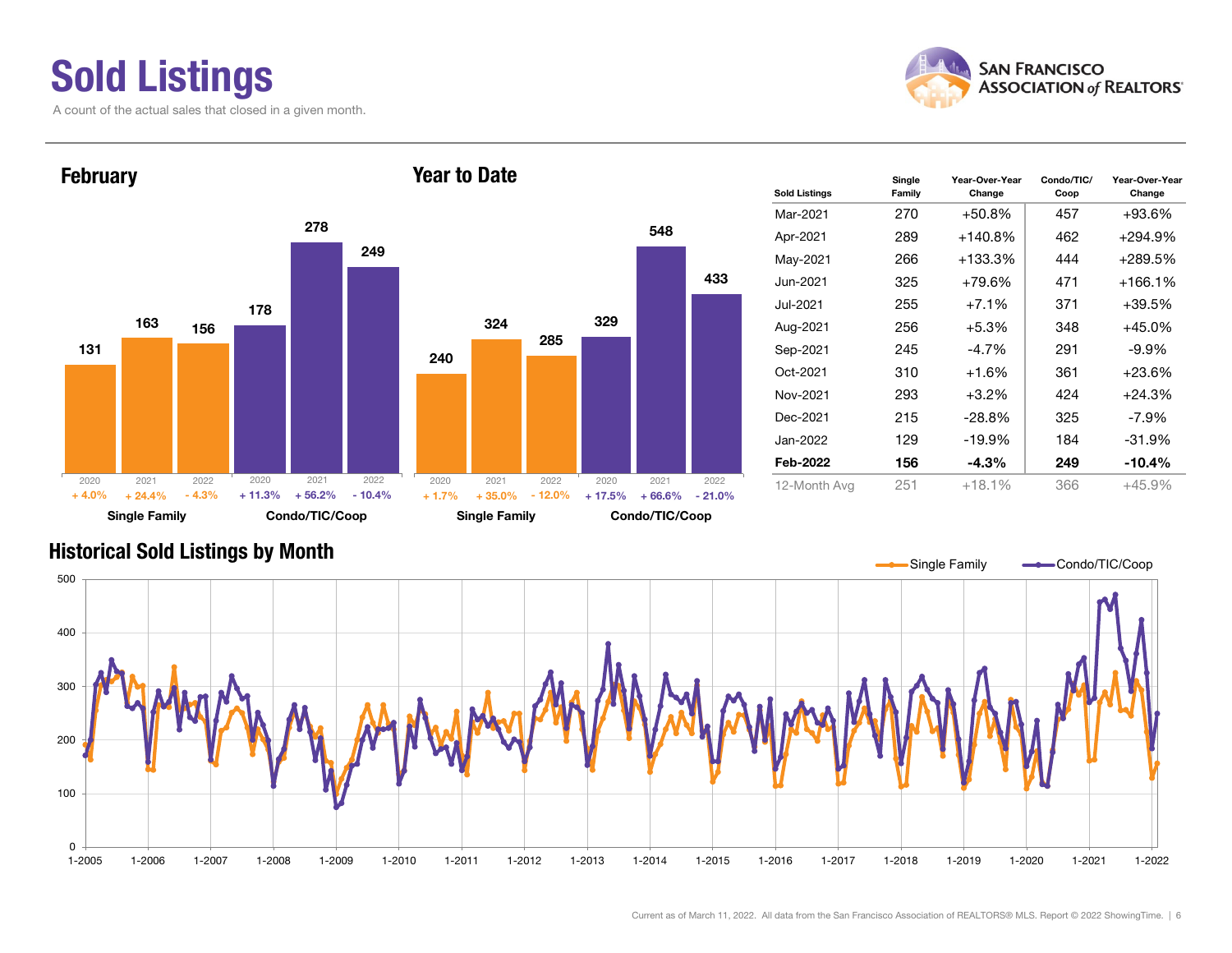#### Sold Listings A count of the actual sales that closed in a given month.





| <b>Sold Listings</b> | Single<br>Family | Year-Over-Year<br>Change | Condo/TIC/<br>Coop | Year-Over-Year<br>Change |  |  |
|----------------------|------------------|--------------------------|--------------------|--------------------------|--|--|
| Mar-2021             | 270              | $+50.8%$                 | 457                | $+93.6\%$                |  |  |
| Apr-2021             | 289              | $+140.8%$                | 462                | +294.9%                  |  |  |
| May-2021             | 266              | +133.3%                  | 444                | +289.5%                  |  |  |
| Jun-2021             | 325              | $+79.6%$                 | 471                | $+166.1%$                |  |  |
| Jul-2021             | 255              | $+7.1%$                  | 371                | $+39.5%$                 |  |  |
| Aug-2021             | 256              | $+5.3%$                  | 348                | +45.0%                   |  |  |
| Sep-2021             | 245              | $-4.7\%$                 | 291                | $-9.9\%$                 |  |  |
| Oct-2021             | 310              | +1.6%                    | 361                | $+23.6%$                 |  |  |
| Nov-2021             | 293              | $+3.2\%$                 | 424                | $+24.3%$                 |  |  |
| Dec-2021             | 215              | $-28.8%$                 | 325                | $-7.9\%$                 |  |  |
| Jan-2022             | 129              | $-19.9%$                 | 184                | $-31.9%$                 |  |  |
| Feb-2022             | 156              | $-4.3%$                  | 249                | $-10.4%$                 |  |  |
| 12-Month Avg         | 251              | $+18.1%$                 | 366                | $+45.9%$                 |  |  |

#### Historical Sold Listings by Month

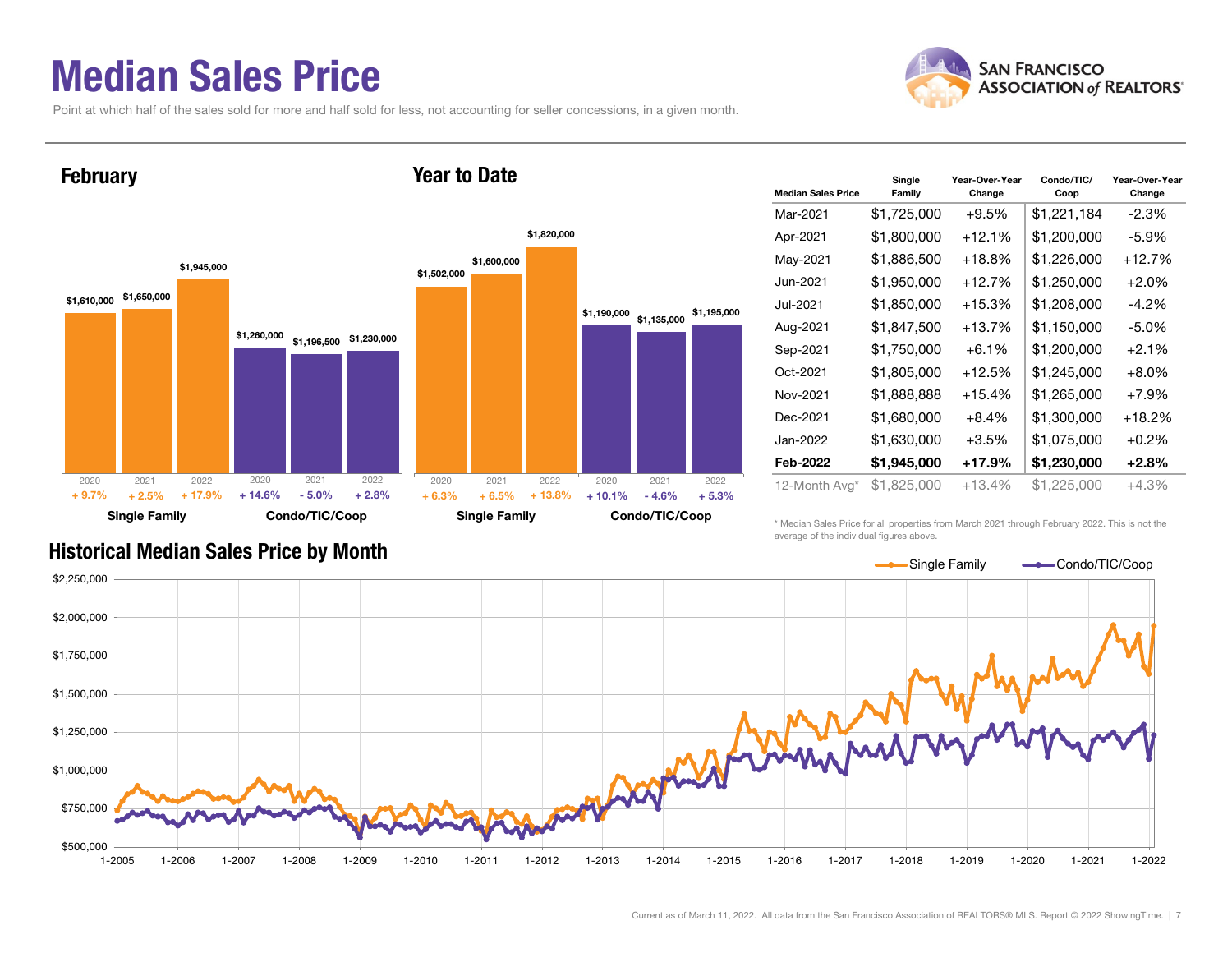#### Median Sales Price

**February** 

2020

+ 9.7%

 $+2.5%$ 

Point at which half of the sales sold for more and half sold for less, not accounting for seller concessions, in a given month.



 $\%$  + 17.9% + 14.6% - 5.0% + 2.8% + 6.3% + 6.5% + 13.8% + 10.1% - 4.6%

| <b>Median Sales Price</b> | Single<br>Family | Year-Over-Year<br>Change | Condo/TIC/<br>Coop | Year-Over-Year<br>Change |  |  |
|---------------------------|------------------|--------------------------|--------------------|--------------------------|--|--|
| Mar-2021                  | \$1,725,000      | $+9.5%$                  | \$1,221,184        | $-2.3%$                  |  |  |
| Apr-2021                  | \$1,800,000      | $+12.1%$                 | \$1,200,000        | -5.9%                    |  |  |
| May-2021                  | \$1,886,500      | $+18.8\%$                | \$1,226,000        | $+12.7%$                 |  |  |
| Jun-2021                  | \$1,950,000      | $+12.7%$                 | \$1,250,000        | $+2.0%$                  |  |  |
| Jul-2021                  | \$1,850,000      | $+15.3%$                 | \$1,208,000        | $-4.2\%$                 |  |  |
| Aug-2021                  | \$1,847,500      | $+13.7%$                 | \$1,150,000        | $-5.0\%$                 |  |  |
| Sep-2021                  | \$1,750,000      | $+6.1%$                  | \$1,200,000        | $+2.1%$                  |  |  |
| Oct-2021                  | \$1,805,000      | $+12.5%$                 | \$1,245,000        | $+8.0%$                  |  |  |
| Nov-2021                  | \$1,888,888      | $+15.4%$                 | \$1,265,000        | $+7.9%$                  |  |  |
| Dec-2021                  | \$1,680,000      | $+8.4%$                  | \$1,300,000        | $+18.2%$                 |  |  |
| Jan-2022                  | \$1,630,000      | +3.5%                    | \$1,075,000        | $+0.2\%$                 |  |  |
| Feb-2022                  | \$1,945,000      | $+17.9%$                 | \$1,230,000        | $+2.8%$                  |  |  |
| 12-Month Avg*             | \$1,825,000      | +13.4%                   | \$1,225,000        | +4.3%                    |  |  |

Historical Median Sales Price by Month

Single Family Condo/TIC/Coop

 $+ 17.9\%$  + 14.6% - 5.0% + 2.8% + 6.3%

\* Median Sales Price for all properties from March 2021 through February 2022. This is not the average of the individual figures above.



Single Family Condo/TIC/Coop

 $+ 6.5\% + 13.8\% + 10.1\%$ 

 $-4.6\%$   $+5.3\%$ 

**SAN FRANCISCO ASSOCIATION of REALTORS'**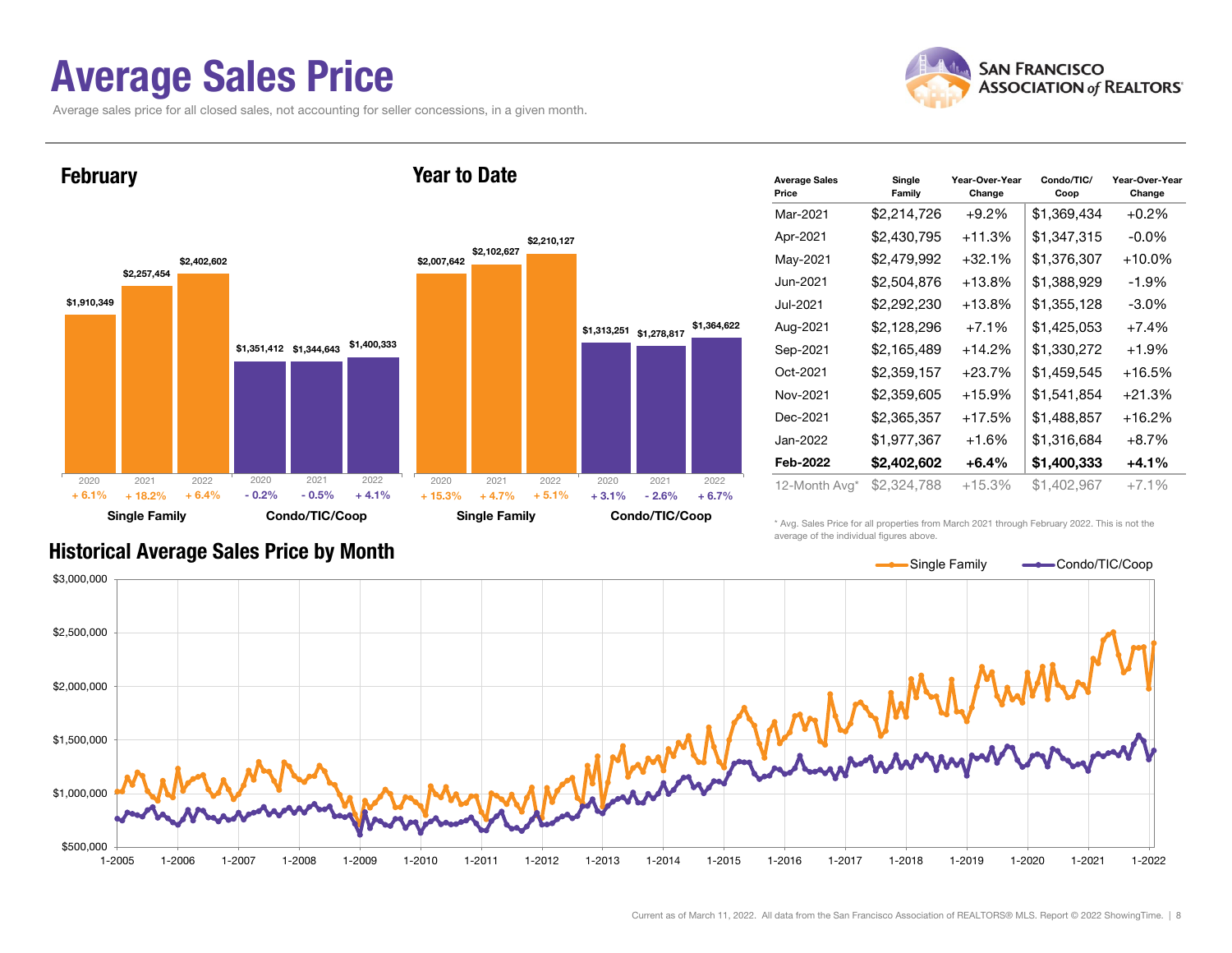#### Average Sales Price

Average sales price for all closed sales, not accounting for seller concessions, in a given month.





| <b>Average Sales</b><br>Price | Single<br>Family | Year-Over-Year<br>Change | Condo/TIC/<br>Coop | Year-Over-Year<br>Change |  |  |
|-------------------------------|------------------|--------------------------|--------------------|--------------------------|--|--|
| Mar-2021                      | \$2,214,726      | $+9.2%$                  | \$1,369,434        | $+0.2%$                  |  |  |
| Apr-2021                      | \$2,430,795      | +11.3%                   | \$1,347,315        | -0.0%                    |  |  |
| May-2021                      | \$2,479,992      | $+32.1%$                 | \$1,376,307        | $+10.0\%$                |  |  |
| Jun-2021                      | \$2,504,876      | $+13.8\%$                | \$1,388,929        | -1.9%                    |  |  |
| Jul-2021.                     | \$2,292,230      | $+13.8\%$                | \$1,355,128        | -3.0%                    |  |  |
| Aug-2021                      | \$2,128,296      | $+7.1%$                  | \$1,425,053        | $+7.4%$                  |  |  |
| Sep-2021                      | \$2,165,489      | $+14.2%$                 | \$1,330,272        | $+1.9%$                  |  |  |
| Oct-2021                      | \$2,359,157      | $+23.7%$                 | \$1,459,545        | $+16.5%$                 |  |  |
| Nov-2021                      | \$2,359,605      | $+15.9%$                 | \$1,541,854        | $+21.3%$                 |  |  |
| Dec-2021                      | \$2,365,357      | $+17.5%$                 | \$1,488,857        | $+16.2\%$                |  |  |
| Jan-2022                      | \$1,977,367      | $+1.6%$                  | \$1,316,684        | $+8.7\%$                 |  |  |
| Feb-2022                      | \$2,402,602      | +6.4%                    | \$1,400,333        | $+4.1%$                  |  |  |
| 12-Month Avg*                 | \$2,324,788      | $+15.3%$                 | \$1,402,967        | $+7.1%$                  |  |  |

\* Avg. Sales Price for all properties from March 2021 through February 2022. This is not the average of the individual figures above.



#### Historical Average Sales Price by Month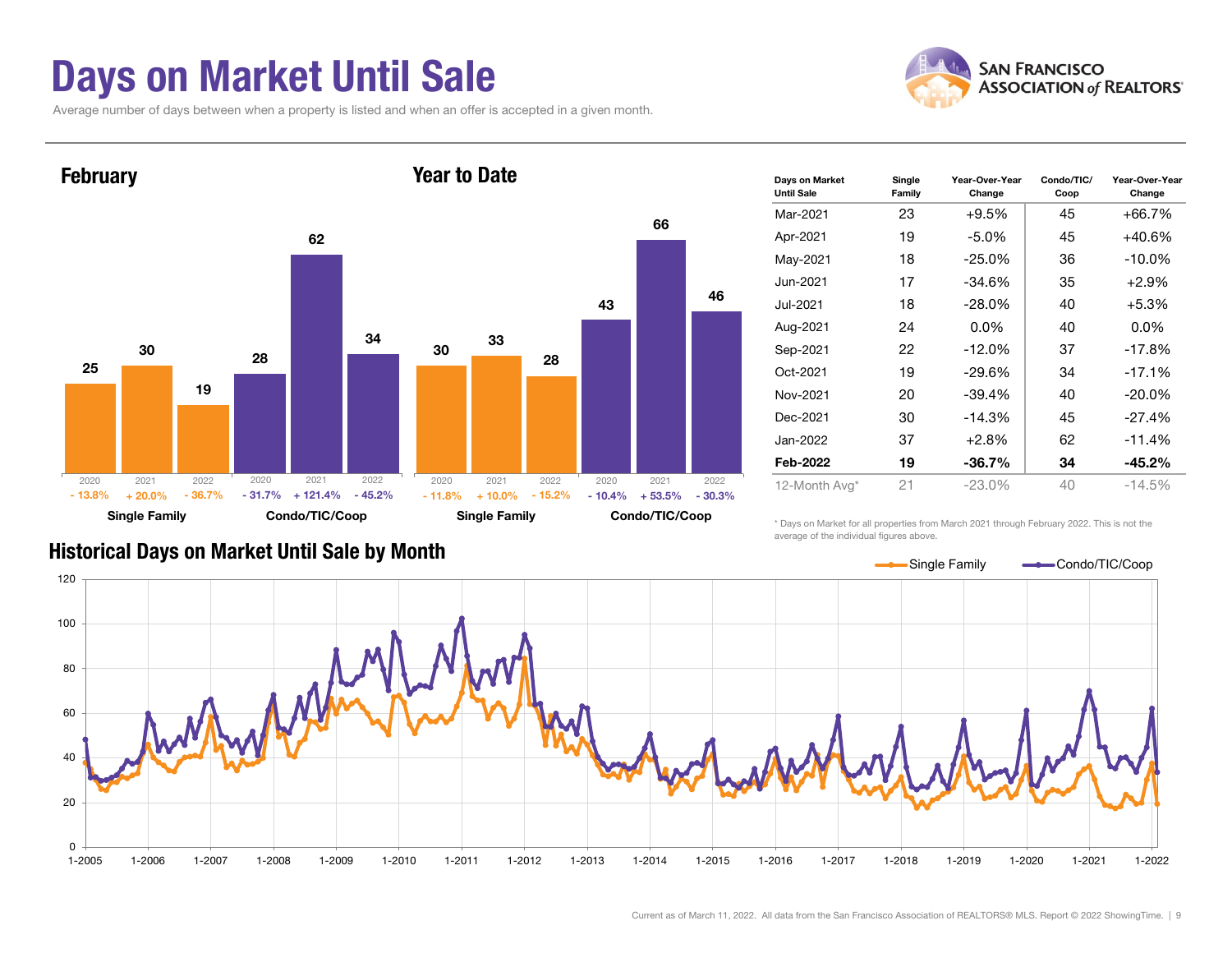### Days on Market Until Sale

Average number of days between when a property is listed and when an offer is accepted in a given month.





| Days on Market<br><b>Until Sale</b> | Single<br>Family | Year-Over-Year<br>Change | Condo/TIC/<br>Coop | Year-Over-Year<br>Change |
|-------------------------------------|------------------|--------------------------|--------------------|--------------------------|
| Mar-2021                            | 23               | $+9.5%$                  | 45                 | $+66.7%$                 |
| Apr-2021                            | 19               | -5.0%                    | 45                 | $+40.6\%$                |
| May-2021                            | 18               | $-25.0\%$                | 36                 | $-10.0\%$                |
| Jun-2021                            | 17               | $-34.6%$                 | 35                 | $+2.9%$                  |
| Jul-2021.                           | 18               | $-28.0\%$                | 40                 | $+5.3%$                  |
| Aug-2021                            | 24               | $0.0\%$                  | 40                 | $0.0\%$                  |
| Sep-2021                            | 22               | $-12.0%$                 | 37                 | $-17.8%$                 |
| Oct-2021                            | 19               | $-29.6%$                 | 34                 | $-17.1%$                 |
| Nov-2021                            | 20               | $-39.4%$                 | 40                 | $-20.0\%$                |
| Dec-2021                            | 30               | $-14.3%$                 | 45                 | $-27.4%$                 |
| Jan-2022                            | 37               | $+2.8%$                  | 62                 | $-11.4%$                 |
| Feb-2022                            | 19               | $-36.7\%$                | 34                 | -45.2%                   |
| 12-Month Avg*                       | 21               | $-23.0\%$                | 40                 | $-14.5%$                 |

#### Historical Days on Market Until Sale by Month

\* Days on Market for all properties from March 2021 through February 2022. This is not the average of the individual figures above.

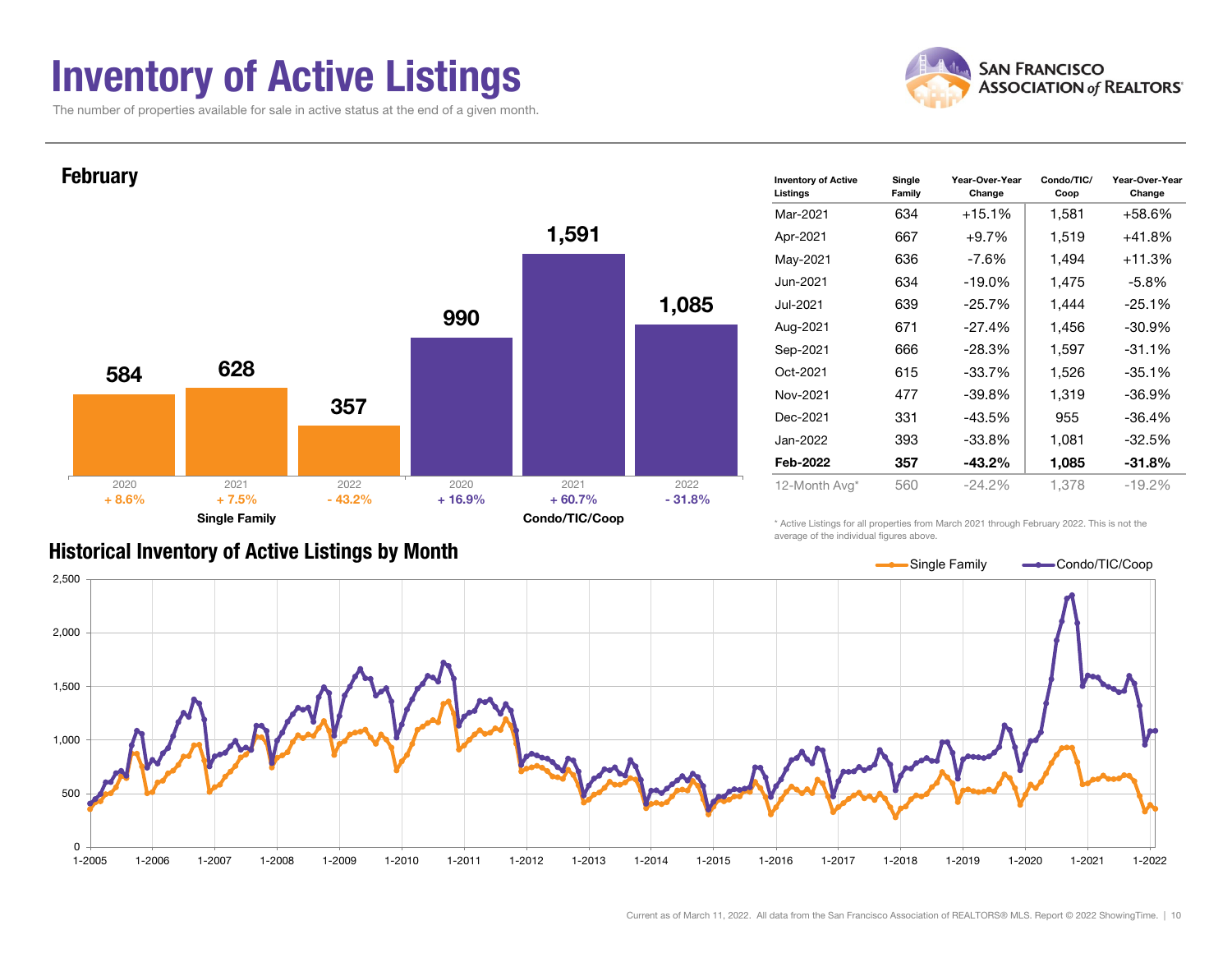### Inventory of Active Listings

The number of properties available for sale in active status at the end of a given month.





#### Historical Inventory of Active Listings by Month

average of the individual figures above.

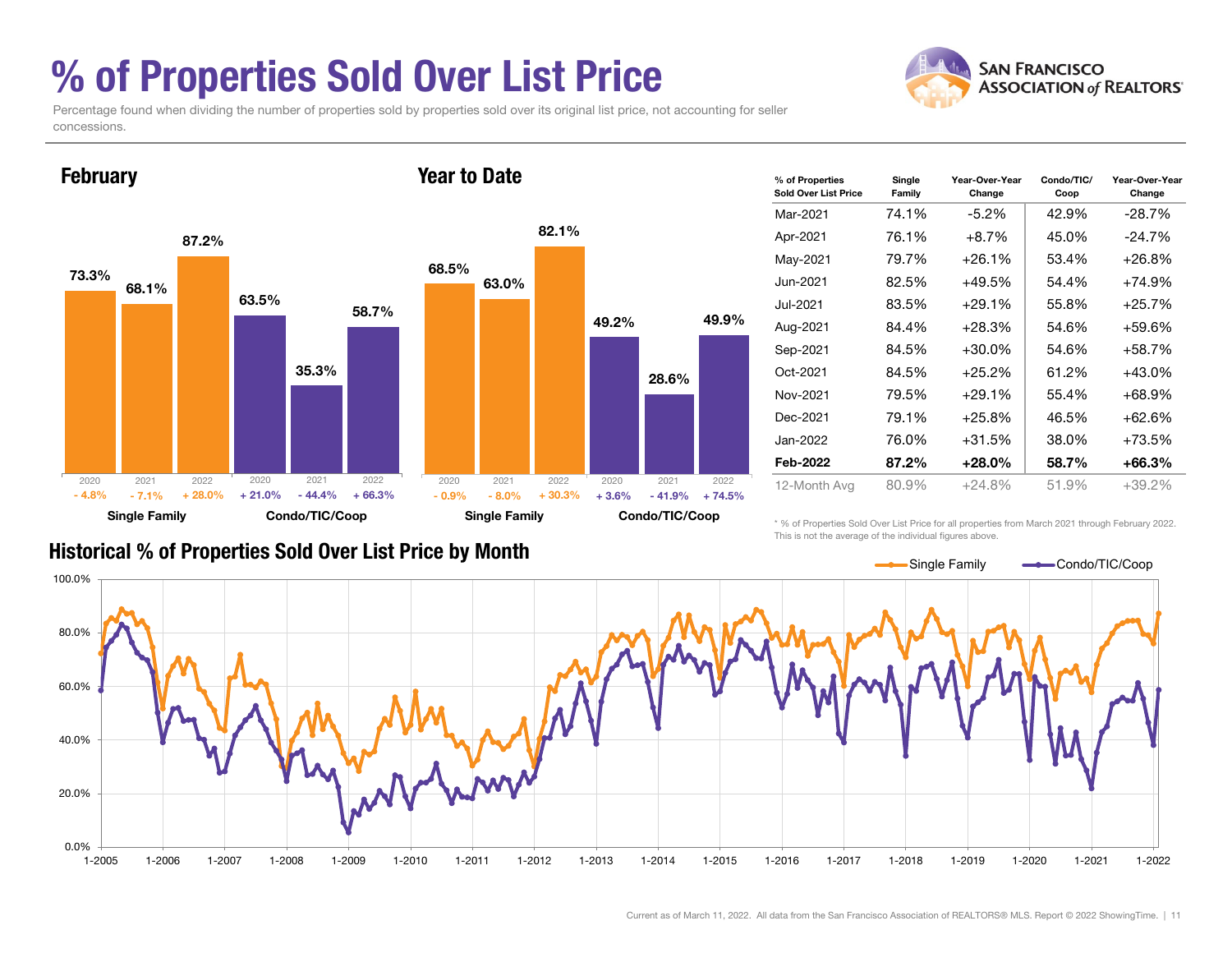### % of Properties Sold Over List Price



Percentage found when dividing the number of properties sold by properties sold over its original list price, not accounting for seller concessions.



| % of Properties<br>Sold Over List Price | Single<br>Family | Year-Over-Year<br>Change | Condo/TIC/<br>Coop | Year-Over-Year<br>Change |
|-----------------------------------------|------------------|--------------------------|--------------------|--------------------------|
| Mar-2021                                | 74.1%            | $-5.2\%$                 | 42.9%              | $-28.7%$                 |
| Apr-2021                                | 76.1%            | $+8.7%$                  | 45.0%              | $-24.7%$                 |
| May-2021                                | 79.7%            | $+26.1%$                 | 53.4%              | +26.8%                   |
| Jun-2021                                | 82.5%            | $+49.5%$                 | 54.4%              | +74.9%                   |
| Jul-2021.                               | 83.5%            | $+29.1%$                 | 55.8%              | $+25.7%$                 |
| Aug-2021                                | 84.4%            | $+28.3%$                 | 54.6%              | +59.6%                   |
| Sep-2021                                | 84.5%            | $+30.0\%$                | 54.6%              | +58.7%                   |
| Oct-2021                                | 84.5%            | $+25.2%$                 | 61.2%              | +43.0%                   |
| Nov-2021                                | 79.5%            | $+29.1%$                 | 55.4%              | +68.9%                   |
| Dec-2021                                | 79.1%            | $+25.8%$                 | 46.5%              | +62.6%                   |
| Jan-2022                                | 76.0%            | $+31.5%$                 | 38.0%              | +73.5%                   |
| Feb-2022                                | 87.2%            | $+28.0\%$                | 58.7%              | +66.3%                   |
| 12-Month Avg                            | 80.9%            | $+24.8\%$                | 51.9%              | $+39.2%$                 |

#### Historical % of Properties Sold Over List Price by Month

\* % of Properties Sold Over List Price for all properties from March 2021 through February 2022. This is not the average of the individual figures above.

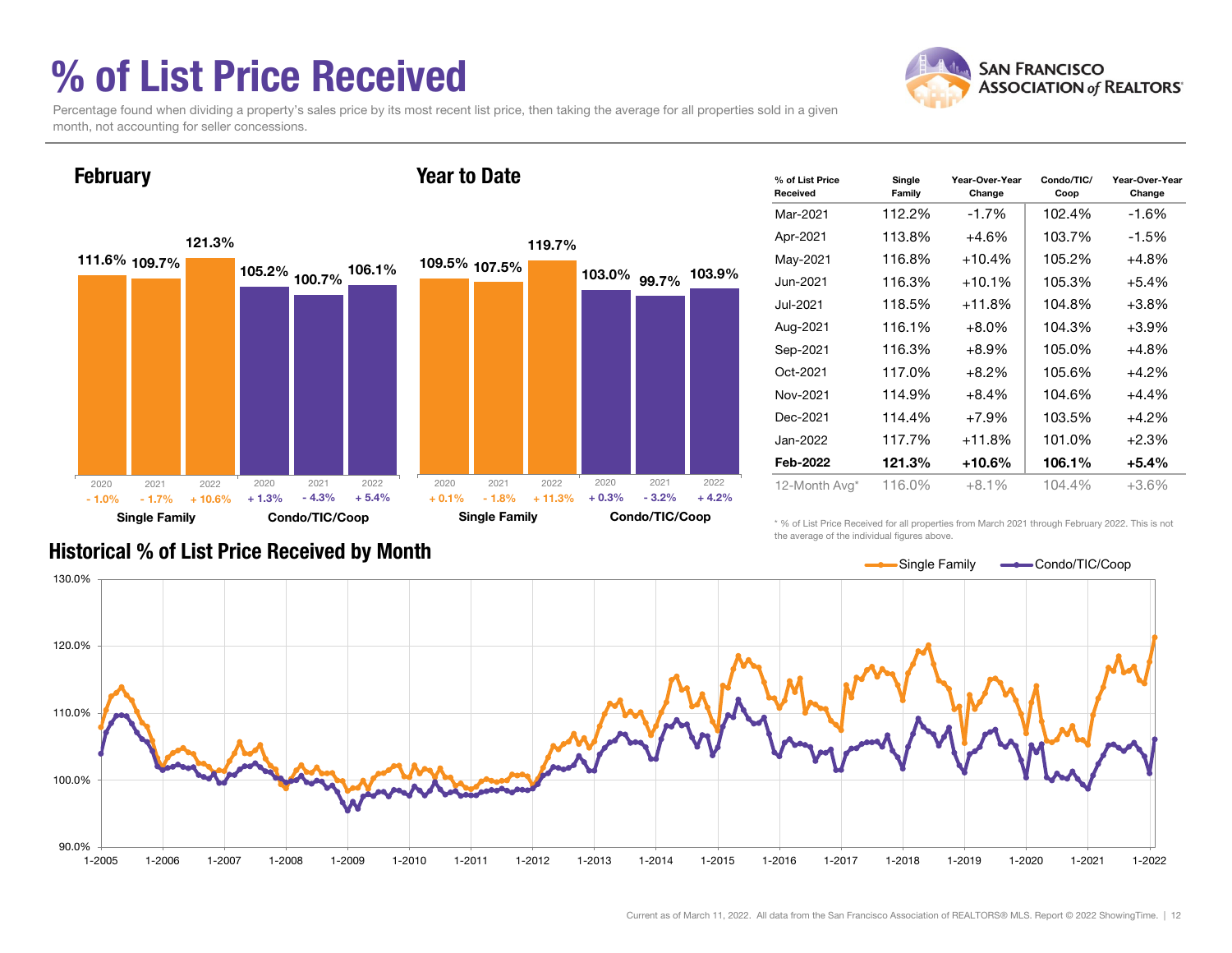### % of List Price Received

**February** 



Percentage found when dividing a property's sales price by its most recent list price, then taking the average for all properties sold in a given month, not accounting for seller concessions.

Year to Date



| % of List Price<br>Received | Single<br>Family | Year-Over-Year<br>Change | Condo/TIC/<br>Coop | Year-Over-Year<br>Change |
|-----------------------------|------------------|--------------------------|--------------------|--------------------------|
| Mar-2021                    | 112.2%           | $-1.7%$                  | 102.4%             | -1.6%                    |
| Apr-2021                    | 113.8%           | $+4.6%$                  | 103.7%             | $-1.5%$                  |
| May-2021                    | 116.8%           | $+10.4%$                 | 105.2%             | $+4.8%$                  |
| Jun-2021.                   | 116.3%           | $+10.1\%$                | 105.3%             | $+5.4%$                  |
| Jul-2021                    | 118.5%           | $+11.8%$                 | 104.8%             | $+3.8%$                  |
| Aug-2021                    | 116.1%           | $+8.0\%$                 | 104.3%             | $+3.9%$                  |
| Sep-2021                    | 116.3%           | $+8.9%$                  | 105.0%             | $+4.8%$                  |
| Oct-2021                    | 117.0%           | $+8.2%$                  | 105.6%             | $+4.2%$                  |
| Nov-2021                    | 114.9%           | $+8.4%$                  | 104.6%             | $+4.4%$                  |
| Dec-2021                    | 114.4%           | $+7.9\%$                 | 103.5%             | $+4.2%$                  |
| Jan-2022.                   | 117.7%           | $+11.8%$                 | 101.0%             | $+2.3%$                  |
| Feb-2022                    | 121.3%           | $+10.6%$                 | 106.1%             | $+5.4%$                  |
| 12-Month Avg*               | 116.0%           | $+8.1%$                  | 104.4%             | $+3.6%$                  |

\* % of List Price Received for all properties from March 2021 through February 2022. This is not the average of the individual figures above.



#### Historical % of List Price Received by Month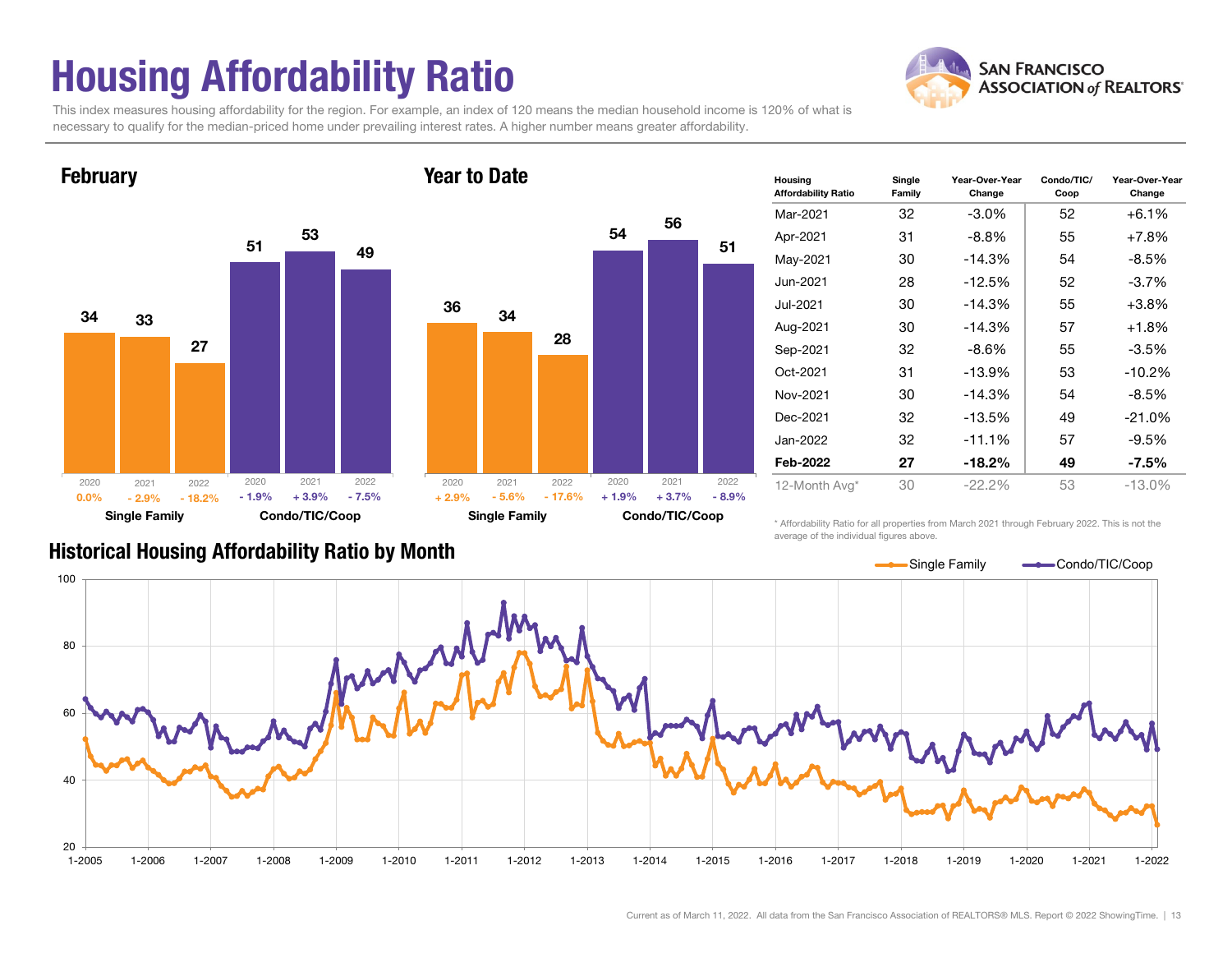## Housing Affordability Ratio

**SAN FRANCISCO ASSOCIATION of REALTORS'** 

This index measures housing affordability for the region. For example, an index of 120 means the median household income is 120% of what is necessary to qualify for the median-priced home under prevailing interest rates. A higher number means greater affordability.

Year to Date





| <b>Housing</b><br><b>Affordability Ratio</b> | Single<br>Family | Year-Over-Year<br>Change | Condo/TIC/<br>Coop | Year-Over-Year<br>Change |  |
|----------------------------------------------|------------------|--------------------------|--------------------|--------------------------|--|
| Mar-2021                                     | 32               | $-3.0\%$                 | 52                 | $+6.1%$                  |  |
| Apr-2021                                     | 31               | $-8.8\%$                 | 55                 | $+7.8%$                  |  |
| May-2021                                     | 30               | $-14.3%$                 | 54                 | $-8.5%$                  |  |
| Jun-2021                                     | 28               | $-12.5%$                 | 52                 | $-3.7\%$                 |  |
| Jul-2021                                     | 30               | $-14.3%$                 | 55                 | $+3.8%$                  |  |
| Aug-2021                                     | 30               | $-14.3%$                 | 57                 | $+1.8%$                  |  |
| Sep-2021                                     | 32               | -8.6%                    | 55                 | $-3.5%$                  |  |
| Oct-2021                                     | 31               | $-13.9%$                 | 53                 | $-10.2%$                 |  |
| Nov-2021                                     | 30               | $-14.3%$                 | 54                 | -8.5%                    |  |
| Dec-2021                                     | 32               | $-13.5%$                 | 49                 | $-21.0%$                 |  |
| Jan-2022                                     | 32               | $-11.1%$                 | 57                 | $-9.5\%$                 |  |
| Feb-2022                                     | 27<br>$-18.2%$   |                          | 49                 | $-7.5\%$                 |  |
| 12-Month Avg*                                | 30               | $-22.2\%$                | 53                 | $-13.0\%$                |  |

Historical Housing Affordability Ratio by Month

\* Affordability Ratio for all properties from March 2021 through February 2022. This is not the average of the individual figures above.

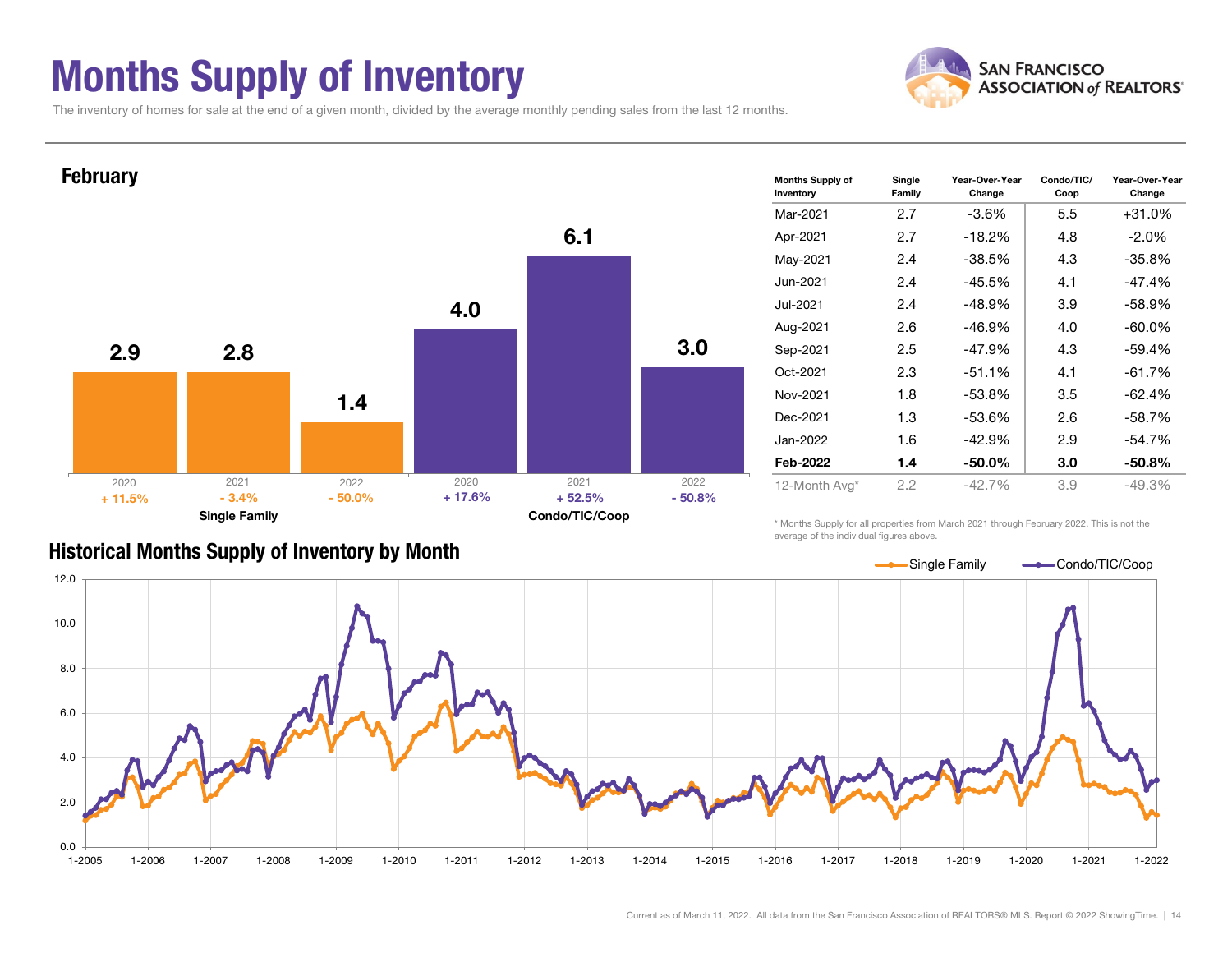### Months Supply of Inventory



Change

The inventory of homes for sale at the end of a given month, divided by the average monthly pending sales from the last 12 months.



#### Historical Months Supply of Inventory by Month

\* Months Supply for all properties from March 2021 through February 2022. This is not the average of the individual figures above.

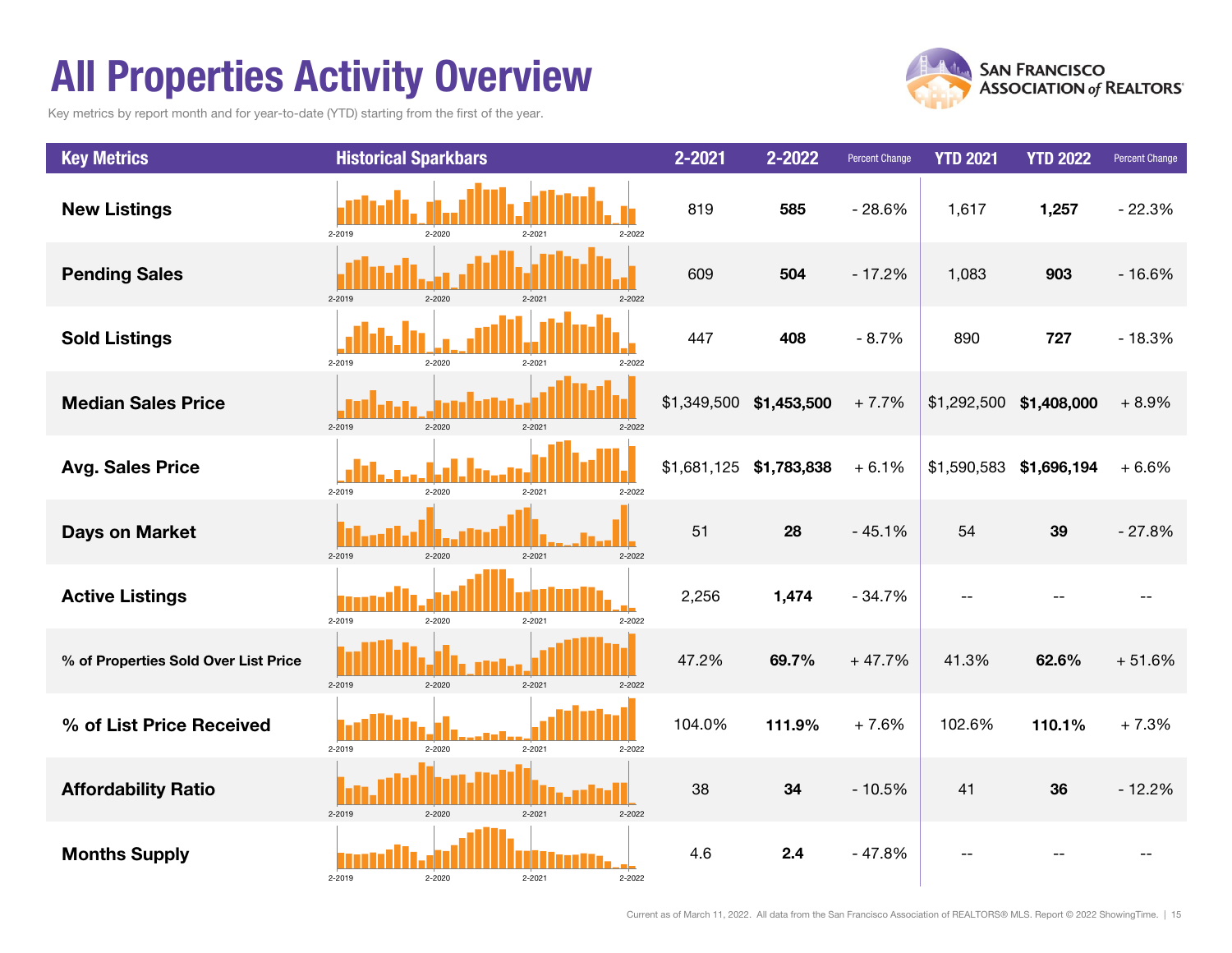### All Properties Activity Overview

Key metrics by report month and for year-to-date (YTD) starting from the first of the year.